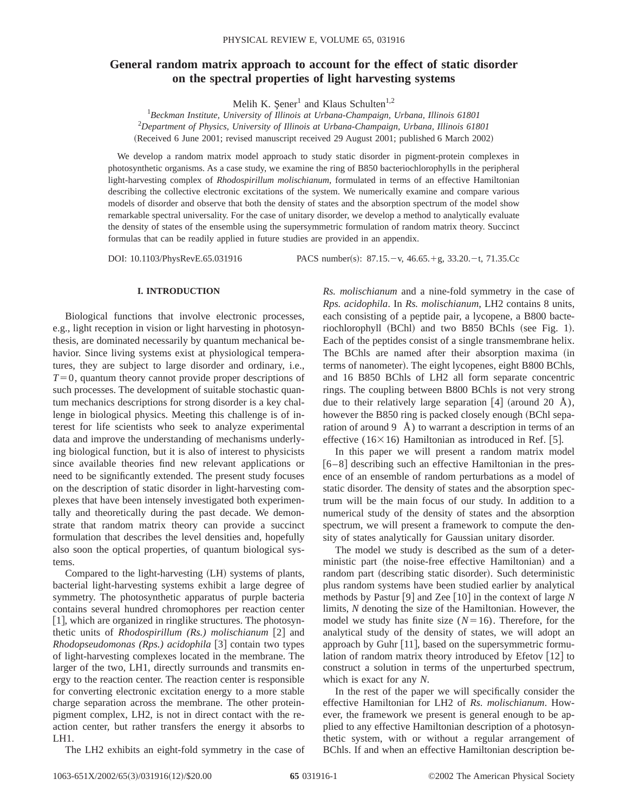# **General random matrix approach to account for the effect of static disorder on the spectral properties of light harvesting systems**

Melih K. Sener<sup>1</sup> and Klaus Schulten<sup>1,2</sup>

1 *Beckman Institute, University of Illinois at Urbana-Champaign, Urbana, Illinois 61801* 2 *Department of Physics, University of Illinois at Urbana-Champaign, Urbana, Illinois 61801* (Received 6 June 2001; revised manuscript received 29 August 2001; published 6 March 2002)

We develop a random matrix model approach to study static disorder in pigment-protein complexes in photosynthetic organisms. As a case study, we examine the ring of B850 bacteriochlorophylls in the peripheral light-harvesting complex of *Rhodospirillum molischianum*, formulated in terms of an effective Hamiltonian describing the collective electronic excitations of the system. We numerically examine and compare various models of disorder and observe that both the density of states and the absorption spectrum of the model show remarkable spectral universality. For the case of unitary disorder, we develop a method to analytically evaluate the density of states of the ensemble using the supersymmetric formulation of random matrix theory. Succinct formulas that can be readily applied in future studies are provided in an appendix.

DOI: 10.1103/PhysRevE.65.031916 PACS number(s): 87.15. - v, 46.65. + g, 33.20. - t, 71.35.Cc

## **I. INTRODUCTION**

Biological functions that involve electronic processes, e.g., light reception in vision or light harvesting in photosynthesis, are dominated necessarily by quantum mechanical behavior. Since living systems exist at physiological temperatures, they are subject to large disorder and ordinary, i.e.,  $T=0$ , quantum theory cannot provide proper descriptions of such processes. The development of suitable stochastic quantum mechanics descriptions for strong disorder is a key challenge in biological physics. Meeting this challenge is of interest for life scientists who seek to analyze experimental data and improve the understanding of mechanisms underlying biological function, but it is also of interest to physicists since available theories find new relevant applications or need to be significantly extended. The present study focuses on the description of static disorder in light-harvesting complexes that have been intensely investigated both experimentally and theoretically during the past decade. We demonstrate that random matrix theory can provide a succinct formulation that describes the level densities and, hopefully also soon the optical properties, of quantum biological systems.

Compared to the light-harvesting  $(LH)$  systems of plants, bacterial light-harvesting systems exhibit a large degree of symmetry. The photosynthetic apparatus of purple bacteria contains several hundred chromophores per reaction center [1], which are organized in ringlike structures. The photosynthetic units of *Rhodospirillum (Rs.) molischianum* [2] and *Rhodopseudomonas (Rps.) acidophila* [3] contain two types of light-harvesting complexes located in the membrane. The larger of the two, LH1, directly surrounds and transmits energy to the reaction center. The reaction center is responsible for converting electronic excitation energy to a more stable charge separation across the membrane. The other proteinpigment complex, LH2, is not in direct contact with the reaction center, but rather transfers the energy it absorbs to LH1.

The LH2 exhibits an eight-fold symmetry in the case of

*Rs. molischianum* and a nine-fold symmetry in the case of *Rps. acidophila*. In *Rs. molischianum*, LH2 contains 8 units, each consisting of a peptide pair, a lycopene, a B800 bacteriochlorophyll  $(BChl)$  and two B850 BChls (see Fig. 1). Each of the peptides consist of a single transmembrane helix. The BChls are named after their absorption maxima (in terms of nanometer). The eight lycopenes, eight B800 BChls, and 16 B850 BChls of LH2 all form separate concentric rings. The coupling between B800 BChls is not very strong due to their relatively large separation  $[4]$  (around 20 Å), however the B850 ring is packed closely enough (BChl separation of around  $9 \text{ Å}$ ) to warrant a description in terms of an effective (16 $\times$ 16) Hamiltonian as introduced in Ref. [5].

In this paper we will present a random matrix model  $[6–8]$  describing such an effective Hamiltonian in the presence of an ensemble of random perturbations as a model of static disorder. The density of states and the absorption spectrum will be the main focus of our study. In addition to a numerical study of the density of states and the absorption spectrum, we will present a framework to compute the density of states analytically for Gaussian unitary disorder.

The model we study is described as the sum of a deterministic part (the noise-free effective Hamiltonian) and a random part (describing static disorder). Such deterministic plus random systems have been studied earlier by analytical methods by Pastur [9] and Zee  $[10]$  in the context of large *N* limits, *N* denoting the size of the Hamiltonian. However, the model we study has finite size  $(N=16)$ . Therefore, for the analytical study of the density of states, we will adopt an approach by Guhr  $[11]$ , based on the supersymmetric formulation of random matrix theory introduced by Efetov  $[12]$  to construct a solution in terms of the unperturbed spectrum, which is exact for any *N*.

In the rest of the paper we will specifically consider the effective Hamiltonian for LH2 of *Rs. molischianum*. However, the framework we present is general enough to be applied to any effective Hamiltonian description of a photosynthetic system, with or without a regular arrangement of BChls. If and when an effective Hamiltonian description be-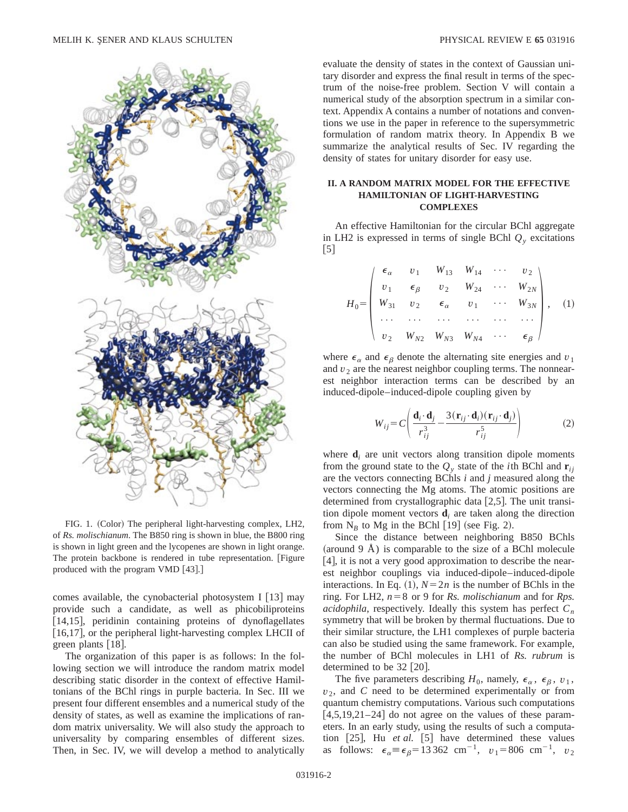

FIG. 1. (Color) The peripheral light-harvesting complex, LH2, of *Rs. molischianum*. The B850 ring is shown in blue, the B800 ring is shown in light green and the lycopenes are shown in light orange. The protein backbone is rendered in tube representation. [Figure produced with the program VMD [43].]

comes available, the cynobacterial photosystem I  $[13]$  may provide such a candidate, as well as phicobiliproteins  $[14,15]$ , peridinin containing proteins of dynoflagellates  $[16,17]$ , or the peripheral light-harvesting complex LHCII of green plants  $|18|$ .

The organization of this paper is as follows: In the following section we will introduce the random matrix model describing static disorder in the context of effective Hamiltonians of the BChl rings in purple bacteria. In Sec. III we present four different ensembles and a numerical study of the density of states, as well as examine the implications of random matrix universality. We will also study the approach to universality by comparing ensembles of different sizes. Then, in Sec. IV, we will develop a method to analytically evaluate the density of states in the context of Gaussian unitary disorder and express the final result in terms of the spectrum of the noise-free problem. Section V will contain a numerical study of the absorption spectrum in a similar context. Appendix A contains a number of notations and conventions we use in the paper in reference to the supersymmetric formulation of random matrix theory. In Appendix B we summarize the analytical results of Sec. IV regarding the density of states for unitary disorder for easy use.

## **II. A RANDOM MATRIX MODEL FOR THE EFFECTIVE HAMILTONIAN OF LIGHT-HARVESTING COMPLEXES**

An effective Hamiltonian for the circular BChl aggregate in LH2 is expressed in terms of single BChl  $Q<sub>v</sub>$  excitations  $|5|$ 

$$
H_0 = \begin{pmatrix} \epsilon_{\alpha} & v_1 & W_{13} & W_{14} & \cdots & v_2 \\ v_1 & \epsilon_{\beta} & v_2 & W_{24} & \cdots & W_{2N} \\ W_{31} & v_2 & \epsilon_{\alpha} & v_1 & \cdots & W_{3N} \\ \cdots & \cdots & \cdots & \cdots & \cdots & \cdots \\ v_2 & W_{N2} & W_{N3} & W_{N4} & \cdots & \epsilon_{\beta} \end{pmatrix}, \quad (1)
$$

where  $\epsilon_{\alpha}$  and  $\epsilon_{\beta}$  denote the alternating site energies and  $v_1$ and  $v_2$  are the nearest neighbor coupling terms. The nonnearest neighbor interaction terms can be described by an induced-dipole–induced-dipole coupling given by

$$
W_{ij} = C \left( \frac{\mathbf{d}_i \cdot \mathbf{d}_j}{r_{ij}^3} - \frac{3(\mathbf{r}_{ij} \cdot \mathbf{d}_i)(\mathbf{r}_{ij} \cdot \mathbf{d}_j)}{r_{ij}^5} \right)
$$
(2)

where  $\mathbf{d}_i$  are unit vectors along transition dipole moments from the ground state to the  $Q_v$  state of the *i*th BChl and  $\mathbf{r}_{ii}$ are the vectors connecting BChls *i* and *j* measured along the vectors connecting the Mg atoms. The atomic positions are determined from crystallographic data  $[2,5]$ . The unit transition dipole moment vectors **d***<sup>i</sup>* are taken along the direction from  $N_B$  to Mg in the BChl [19] (see Fig. 2).

Since the distance between neighboring B850 BChls (around  $9 \text{ Å}$ ) is comparable to the size of a BChl molecule  $[4]$ , it is not a very good approximation to describe the nearest neighbor couplings via induced-dipole–induced-dipole interactions. In Eq. (1),  $N=2n$  is the number of BChls in the ring. For LH2,  $n=8$  or 9 for *Rs. molischianum* and for *Rps. acidophila*, respectively. Ideally this system has perfect  $C_n$ symmetry that will be broken by thermal fluctuations. Due to their similar structure, the LH1 complexes of purple bacteria can also be studied using the same framework. For example, the number of BChl molecules in LH1 of *Rs. rubrum* is determined to be  $32$  [20].

The five parameters describing  $H_0$ , namely,  $\epsilon_\alpha$ ,  $\epsilon_\beta$ ,  $v_1$ ,  $v_2$ , and *C* need to be determined experimentally or from quantum chemistry computations. Various such computations  $[4,5,19,21-24]$  do not agree on the values of these parameters. In an early study, using the results of such a computation  $[25]$ , Hu *et al.*  $[5]$  have determined these values as follows:  $\epsilon_{\alpha} \equiv \epsilon_{\beta} = 13362 \text{ cm}^{-1}, v_1 = 806 \text{ cm}^{-1}, v_2$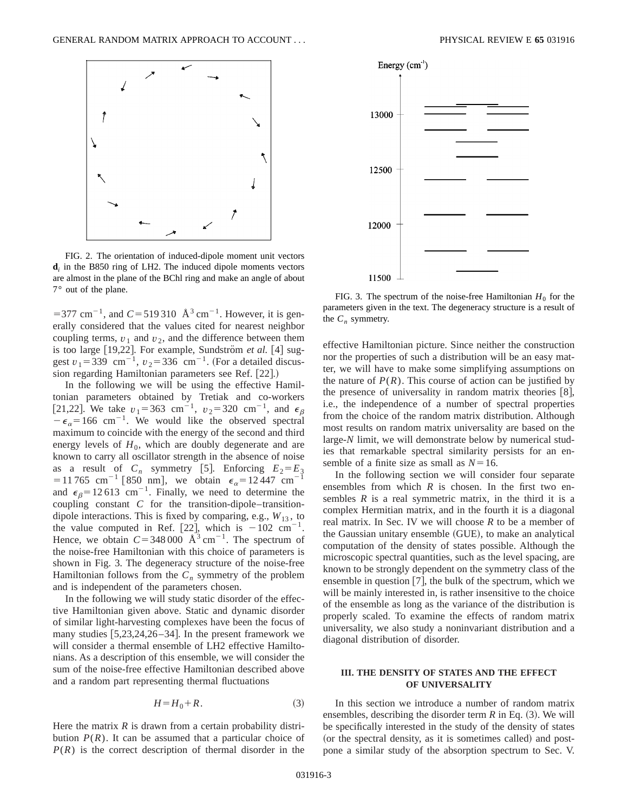

FIG. 2. The orientation of induced-dipole moment unit vectors  $\mathbf{d}_i$  in the B850 ring of LH2. The induced dipole moments vectors are almost in the plane of the BChl ring and make an angle of about  $7^{\circ}$  out of the plane.<br>FIG. 3. The spectrum of the noise-free Hamiltonian  $H_0$  for the

 $=$  377 cm<sup>-1</sup>, and *C* = 519 310 Å<sup>3</sup> cm<sup>-1</sup>. However, it is generally considered that the values cited for nearest neighbor coupling terms,  $v_1$  and  $v_2$ , and the difference between them is too large [19,22]. For example, Sundström et al. [4] suggest  $v_1 = 339$  cm<sup>-1</sup>,  $v_2 = 336$  cm<sup>-1</sup>. (For a detailed discussion regarding Hamiltonian parameters see Ref. [22].)

In the following we will be using the effective Hamiltonian parameters obtained by Tretiak and co-workers [21,22]. We take  $v_1 = 363$  cm<sup>-1</sup>,  $v_2 = 320$  cm<sup>-1</sup>, and  $\epsilon_\beta$  $-\epsilon_{\alpha}$ =166 cm<sup>-1</sup>. We would like the observed spectral maximum to coincide with the energy of the second and third energy levels of  $H_0$ , which are doubly degenerate and are known to carry all oscillator strength in the absence of noise as a result of  $C_n$  symmetry [5]. Enforcing  $E_2 = E_3$ =11765 cm<sup>-1</sup> [850 nm], we obtain  $\epsilon_{\alpha}$ =12447 cm<sup>-1</sup> and  $\epsilon_{\beta}$ =12.613 cm<sup>-1</sup>. Finally, we need to determine the coupling constant *C* for the transition-dipole–transitiondipole interactions. This is fixed by comparing, e.g.,  $W_{13}$ , to the value computed in Ref. [22], which is  $-102 \text{ cm}^{-1}$ . Hence, we obtain  $C = 348 000 \text{ Å}^3 \text{ cm}^{-1}$ . The spectrum of the noise-free Hamiltonian with this choice of parameters is shown in Fig. 3. The degeneracy structure of the noise-free Hamiltonian follows from the  $C_n$  symmetry of the problem and is independent of the parameters chosen.

In the following we will study static disorder of the effective Hamiltonian given above. Static and dynamic disorder of similar light-harvesting complexes have been the focus of many studies  $[5,23,24,26-34]$ . In the present framework we will consider a thermal ensemble of LH2 effective Hamiltonians. As a description of this ensemble, we will consider the sum of the noise-free effective Hamiltonian described above and a random part representing thermal fluctuations

$$
H = H_0 + R. \tag{3}
$$

Here the matrix  $R$  is drawn from a certain probability distribution  $P(R)$ . It can be assumed that a particular choice of  $P(R)$  is the correct description of thermal disorder in the



parameters given in the text. The degeneracy structure is a result of the  $C_n$  symmetry.

effective Hamiltonian picture. Since neither the construction nor the properties of such a distribution will be an easy matter, we will have to make some simplifying assumptions on the nature of  $P(R)$ . This course of action can be justified by the presence of universality in random matrix theories  $[8]$ , i.e., the independence of a number of spectral properties from the choice of the random matrix distribution. Although most results on random matrix universality are based on the large-*N* limit, we will demonstrate below by numerical studies that remarkable spectral similarity persists for an ensemble of a finite size as small as  $N=16$ .

In the following section we will consider four separate ensembles from which  $R$  is chosen. In the first two ensembles  $R$  is a real symmetric matrix, in the third it is a complex Hermitian matrix, and in the fourth it is a diagonal real matrix. In Sec. IV we will choose *R* to be a member of the Gaussian unitary ensemble (GUE), to make an analytical computation of the density of states possible. Although the microscopic spectral quantities, such as the level spacing, are known to be strongly dependent on the symmetry class of the ensemble in question  $[7]$ , the bulk of the spectrum, which we will be mainly interested in, is rather insensitive to the choice of the ensemble as long as the variance of the distribution is properly scaled. To examine the effects of random matrix universality, we also study a noninvariant distribution and a diagonal distribution of disorder.

## **III. THE DENSITY OF STATES AND THE EFFECT OF UNIVERSALITY**

In this section we introduce a number of random matrix ensembles, describing the disorder term  $R$  in Eq.  $(3)$ . We will be specifically interested in the study of the density of states (or the spectral density, as it is sometimes called) and postpone a similar study of the absorption spectrum to Sec. V.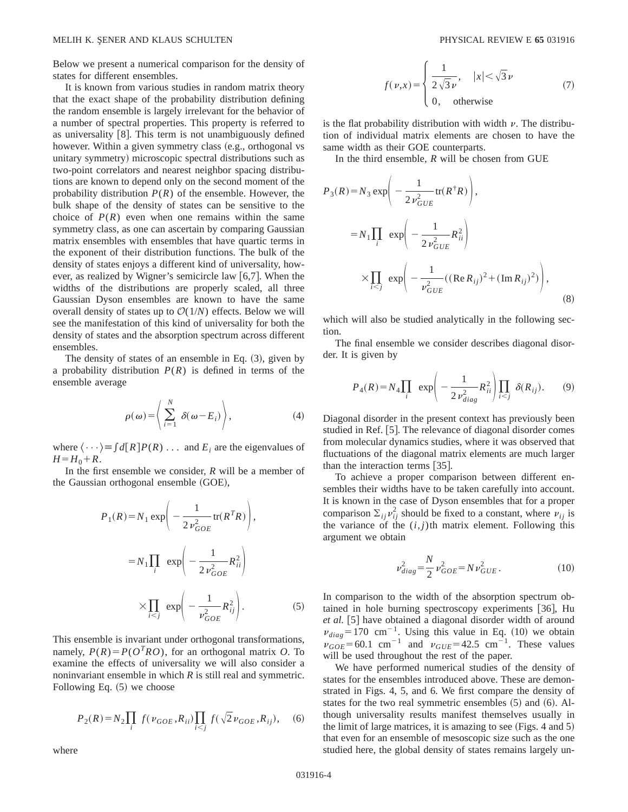Below we present a numerical comparison for the density of states for different ensembles.

It is known from various studies in random matrix theory that the exact shape of the probability distribution defining the random ensemble is largely irrelevant for the behavior of a number of spectral properties. This property is referred to as universality  $[8]$ . This term is not unambiguously defined however. Within a given symmetry class (e.g., orthogonal vs unitary symmetry) microscopic spectral distributions such as two-point correlators and nearest neighbor spacing distributions are known to depend only on the second moment of the probability distribution  $P(R)$  of the ensemble. However, the bulk shape of the density of states can be sensitive to the choice of  $P(R)$  even when one remains within the same symmetry class, as one can ascertain by comparing Gaussian matrix ensembles with ensembles that have quartic terms in the exponent of their distribution functions. The bulk of the density of states enjoys a different kind of universality, however, as realized by Wigner's semicircle law  $[6,7]$ . When the widths of the distributions are properly scaled, all three Gaussian Dyson ensembles are known to have the same overall density of states up to  $O(1/N)$  effects. Below we will see the manifestation of this kind of universality for both the density of states and the absorption spectrum across different ensembles.

The density of states of an ensemble in Eq.  $(3)$ , given by a probability distribution  $P(R)$  is defined in terms of the ensemble average

$$
\rho(\omega) = \left\langle \sum_{i=1}^{N} \delta(\omega - E_i) \right\rangle, \tag{4}
$$

where  $\langle \cdots \rangle = \int d[R] P(R) \ldots$  and  $E_i$  are the eigenvalues of  $H = H_0 + R$ .

In the first ensemble we consider, *R* will be a member of the Gaussian orthogonal ensemble  $(GOE)$ ,

$$
P_1(R) = N_1 \exp\left(-\frac{1}{2 \nu_{GOE}^2} \text{tr}(R^T R)\right),
$$
  

$$
= N_1 \prod_i \exp\left(-\frac{1}{2 \nu_{GOE}^2} R_{ii}^2\right)
$$
  

$$
\times \prod_{i < j} \exp\left(-\frac{1}{\nu_{GOE}^2} R_{ij}^2\right).
$$
 (5)

This ensemble is invariant under orthogonal transformations, namely,  $P(R) = P(O^{T}RO)$ , for an orthogonal matrix *O*. To examine the effects of universality we will also consider a noninvariant ensemble in which *R* is still real and symmetric. Following Eq.  $(5)$  we choose

$$
P_2(R) = N_2 \prod_i f(\nu_{GOE}, R_{ii}) \prod_{i < j} f(\sqrt{2}\nu_{GOE}, R_{ij}), \quad (6)
$$

where

$$
f(\nu, x) = \begin{cases} \frac{1}{2\sqrt{3}\nu}, & |x| < \sqrt{3}\nu \\ 0, & \text{otherwise} \end{cases}
$$
 (7)

is the flat probability distribution with width  $\nu$ . The distribution of individual matrix elements are chosen to have the same width as their GOE counterparts.

In the third ensemble, *R* will be chosen from GUE

$$
P_3(R) = N_3 \exp\left(-\frac{1}{2 \nu_{GUE}^2} tr(R^{\dagger} R)\right),
$$
  
=  $N_1 \prod_i \exp\left(-\frac{1}{2 \nu_{GUE}^2} R_{ii}^2\right)$   
 $\times \prod_{i < j} \exp\left(-\frac{1}{\nu_{GUE}^2} ((\text{Re } R_{ij})^2 + (\text{Im } R_{ij})^2)\right),$  (8)

which will also be studied analytically in the following section.

The final ensemble we consider describes diagonal disorder. It is given by

$$
P_4(R) = N_4 \prod_i \exp\left(-\frac{1}{2v_{diag}^2} R_{ii}^2\right) \prod_{i < j} \delta(R_{ij}).\tag{9}
$$

Diagonal disorder in the present context has previously been studied in Ref. [5]. The relevance of diagonal disorder comes from molecular dynamics studies, where it was observed that fluctuations of the diagonal matrix elements are much larger than the interaction terms  $|35|$ .

To achieve a proper comparison between different ensembles their widths have to be taken carefully into account. It is known in the case of Dyson ensembles that for a proper comparison  $\Sigma_{ij} v_{ij}^2$  should be fixed to a constant, where  $v_{ij}$  is the variance of the  $(i, j)$ th matrix element. Following this argument we obtain

$$
\nu_{diag}^2 = \frac{N}{2} \nu_{GOE}^2 = N \nu_{GUE}^2.
$$
 (10)

In comparison to the width of the absorption spectrum obtained in hole burning spectroscopy experiments  $[36]$ , Hu et al. [5] have obtained a diagonal disorder width of around  $v_{diag}$ =170 cm<sup>-1</sup>. Using this value in Eq. (10) we obtain  $v_{GOE} = 60.1$  cm<sup>-1</sup> and  $v_{GUE} = 42.5$  cm<sup>-1</sup>. These values will be used throughout the rest of the paper.

We have performed numerical studies of the density of states for the ensembles introduced above. These are demonstrated in Figs. 4, 5, and 6. We first compare the density of states for the two real symmetric ensembles  $(5)$  and  $(6)$ . Although universality results manifest themselves usually in the limit of large matrices, it is amazing to see  $(Figs. 4$  and  $5)$ that even for an ensemble of mesoscopic size such as the one studied here, the global density of states remains largely un-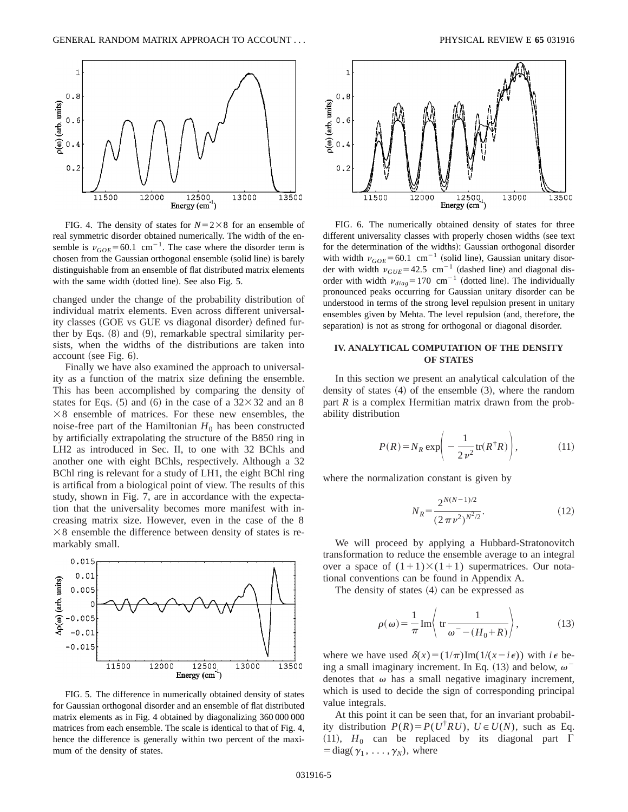

FIG. 4. The density of states for  $N=2\times8$  for an ensemble of real symmetric disorder obtained numerically. The width of the ensemble is  $v_{GOE}$ =60.1 cm<sup>-1</sup>. The case where the disorder term is chosen from the Gaussian orthogonal ensemble (solid line) is barely distinguishable from an ensemble of flat distributed matrix elements with the same width (dotted line). See also Fig. 5.

changed under the change of the probability distribution of individual matrix elements. Even across different universality classes (GOE vs GUE vs diagonal disorder) defined further by Eqs.  $(8)$  and  $(9)$ , remarkable spectral similarity persists, when the widths of the distributions are taken into account (see Fig.  $6$ ).

Finally we have also examined the approach to universality as a function of the matrix size defining the ensemble. This has been accomplished by comparing the density of states for Eqs.  $(5)$  and  $(6)$  in the case of a  $32\times32$  and an 8  $\times$ 8 ensemble of matrices. For these new ensembles, the noise-free part of the Hamiltonian  $H_0$  has been constructed by artificially extrapolating the structure of the B850 ring in LH2 as introduced in Sec. II, to one with 32 BChls and another one with eight BChls, respectively. Although a 32 BChl ring is relevant for a study of LH1, the eight BChl ring is artifical from a biological point of view. The results of this study, shown in Fig. 7, are in accordance with the expectation that the universality becomes more manifest with increasing matrix size. However, even in the case of the 8  $\times$ 8 ensemble the difference between density of states is remarkably small.



FIG. 5. The difference in numerically obtained density of states for Gaussian orthogonal disorder and an ensemble of flat distributed matrix elements as in Fig. 4 obtained by diagonalizing 360 000 000 matrices from each ensemble. The scale is identical to that of Fig. 4, hence the difference is generally within two percent of the maximum of the density of states.



FIG. 6. The numerically obtained density of states for three different universality classes with properly chosen widths (see text for the determination of the widths): Gaussian orthogonal disorder with width  $\nu_{GOE}$ =60.1 cm<sup>-1</sup> (solid line), Gaussian unitary disorder with width  $v_{GUE}$ =42.5 cm<sup>-1</sup> (dashed line) and diagonal disorder with width  $v_{diag} = 170$  cm<sup>-1</sup> (dotted line). The individually pronounced peaks occurring for Gaussian unitary disorder can be understood in terms of the strong level repulsion present in unitary ensembles given by Mehta. The level repulsion (and, therefore, the separation) is not as strong for orthogonal or diagonal disorder.

# **IV. ANALYTICAL COMPUTATION OF THE DENSITY OF STATES**

In this section we present an analytical calculation of the density of states  $(4)$  of the ensemble  $(3)$ , where the random part *R* is a complex Hermitian matrix drawn from the probability distribution

$$
P(R) = N_R \exp\left(-\frac{1}{2v^2} \text{tr}(R^{\dagger}R)\right),\tag{11}
$$

where the normalization constant is given by

$$
N_R = \frac{2^{N(N-1)/2}}{(2\pi\nu^2)^{N^2/2}}.\tag{12}
$$

We will proceed by applying a Hubbard-Stratonovitch transformation to reduce the ensemble average to an integral over a space of  $(1+1)\times(1+1)$  supermatrices. Our notational conventions can be found in Appendix A.

The density of states  $(4)$  can be expressed as

$$
\rho(\omega) = \frac{1}{\pi} \operatorname{Im} \left\langle \operatorname{tr} \frac{1}{\omega^-(H_0 + R)} \right\rangle,\tag{13}
$$

where we have used  $\delta(x)=(1/\pi)\text{Im}(1/(x-i\epsilon))$  with  $i\epsilon$  being a small imaginary increment. In Eq. (13) and below,  $\omega$ <sup>-</sup> denotes that  $\omega$  has a small negative imaginary increment, which is used to decide the sign of corresponding principal value integrals.

At this point it can be seen that, for an invariant probability distribution  $P(R) = P(U^{\dagger}RU)$ ,  $U \in U(N)$ , such as Eq. (11),  $H_0$  can be replaced by its diagonal part  $\Gamma$  $=$ diag( $\gamma_1, \ldots, \gamma_N$ ), where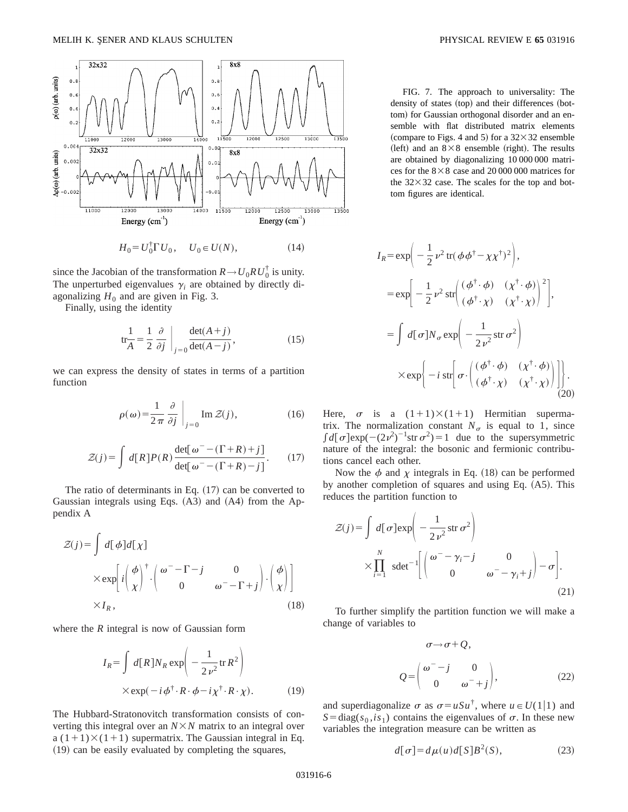

 $H_0 = U_0^{\dagger} \Gamma U_0, \quad U_0 \in U(N),$  (14)

since the Jacobian of the transformation  $R \rightarrow U_0 R U_0^{\dagger}$  is unity. The unperturbed eigenvalues  $\gamma_i$  are obtained by directly diagonalizing  $H_0$  and are given in Fig. 3.

Finally, using the identity

$$
\text{tr}_{\overline{A}}^1 = \frac{1}{2} \frac{\partial}{\partial j} \bigg|_{j=0} \frac{\det(A+j)}{\det(A-j)},\tag{15}
$$

we can express the density of states in terms of a partition function

$$
\rho(\omega) = \frac{1}{2\pi} \frac{\partial}{\partial j} \bigg|_{j=0} \text{Im } \mathcal{Z}(j), \tag{16}
$$

$$
\mathcal{Z}(j) = \int d[R] P(R) \frac{\det[\omega^-(\Gamma + R) + j]}{\det[\omega^-(\Gamma + R) - j]}.
$$
 (17)

The ratio of determinants in Eq.  $(17)$  can be converted to Gaussian integrals using Eqs.  $(A3)$  and  $(A4)$  from the Appendix A

$$
Z(j) = \int d[\phi]d[\chi] \times \exp\left[i\left(\frac{\phi}{\chi}\right)^{\dagger} \cdot \begin{pmatrix} \omega^{+} - \Gamma^{-}j & 0 \\ 0 & \omega^{-} - \Gamma + j \end{pmatrix} \cdot \begin{pmatrix} \phi \\ \chi \end{pmatrix}\right] \times I_{R},
$$
\n(18)

where the *R* integral is now of Gaussian form

$$
I_R = \int d[R] N_R \exp\left(-\frac{1}{2\nu^2} \text{tr} R^2\right)
$$
  
× $\exp(-i\phi^{\dagger} \cdot R \cdot \phi - i\chi^{\dagger} \cdot R \cdot \chi).$  (19)

The Hubbard-Stratonovitch transformation consists of converting this integral over an  $N \times N$  matrix to an integral over a  $(1+1)\times(1+1)$  supermatrix. The Gaussian integral in Eq.  $(19)$  can be easily evaluated by completing the squares,

FIG. 7. The approach to universality: The density of states (top) and their differences (bottom) for Gaussian orthogonal disorder and an ensemble with flat distributed matrix elements (compare to Figs. 4 and 5) for a  $32\times32$  ensemble (left) and an  $8\times8$  ensemble (right). The results are obtained by diagonalizing 10 000 000 matrices for the  $8\times8$  case and 20 000 000 matrices for the  $32\times32$  case. The scales for the top and bottom figures are identical.

$$
I_R = \exp\left(-\frac{1}{2}\nu^2 \operatorname{tr}(\phi\phi^{\dagger} - \chi\chi^{\dagger})^2\right),
$$
  
\n
$$
= \exp\left[-\frac{1}{2}\nu^2 \operatorname{str}\left(\frac{(\phi^{\dagger}\cdot\phi)}{(\phi^{\dagger}\cdot\chi)} - \frac{(\chi^{\dagger}\cdot\phi)}{(\chi^{\dagger}\cdot\chi)}\right)^2\right],
$$
  
\n
$$
= \int d[\sigma]N_{\sigma} \exp\left(-\frac{1}{2\nu^2} \operatorname{str}\sigma^2\right)
$$
  
\n
$$
\times \exp\left\{-i \operatorname{str}\left[\sigma\cdot \left(\frac{(\phi^{\dagger}\cdot\phi)}{(\phi^{\dagger}\cdot\chi)} - \frac{(\chi^{\dagger}\cdot\phi)}{(\chi^{\dagger}\cdot\chi)}\right)\right]\right\}.
$$
 (20)

Here,  $\sigma$  is a  $(1+1)\times(1+1)$  Hermitian supermatrix. The normalization constant  $N_{\sigma}$  is equal to 1, since  $\int d[\sigma] \exp(-(2\nu^2)^{-1} \text{str } \sigma^2) = 1$  due to the supersymmetric nature of the integral: the bosonic and fermionic contributions cancel each other.

Now the  $\phi$  and  $\chi$  integrals in Eq. (18) can be performed by another completion of squares and using Eq.  $(A5)$ . This reduces the partition function to

$$
\mathcal{Z}(j) = \int d[\sigma] \exp\left(-\frac{1}{2\nu^2} \operatorname{str} \sigma^2\right)
$$

$$
\times \prod_{i=1}^N \operatorname{sdet}^{-1} \left[ \begin{pmatrix} \omega^- - \gamma_i - j & 0 \\ 0 & \omega^- - \gamma_i + j \end{pmatrix} - \sigma \right].
$$
\n(21)

To further simplify the partition function we will make a change of variables to

$$
\sigma \rightarrow \sigma + Q,
$$
  
\n
$$
Q = \begin{pmatrix} \omega^- - j & 0 \\ 0 & \omega^- + j \end{pmatrix},
$$
\n(22)

and superdiagonalize  $\sigma$  as  $\sigma = u\mu\bar{u}$ , where  $u \in U(1|1)$  and  $S = diag(s_0, is_1)$  contains the eigenvalues of  $\sigma$ . In these new variables the integration measure can be written as

$$
d[\sigma] = d\mu(u)d[S]B^2(S),\tag{23}
$$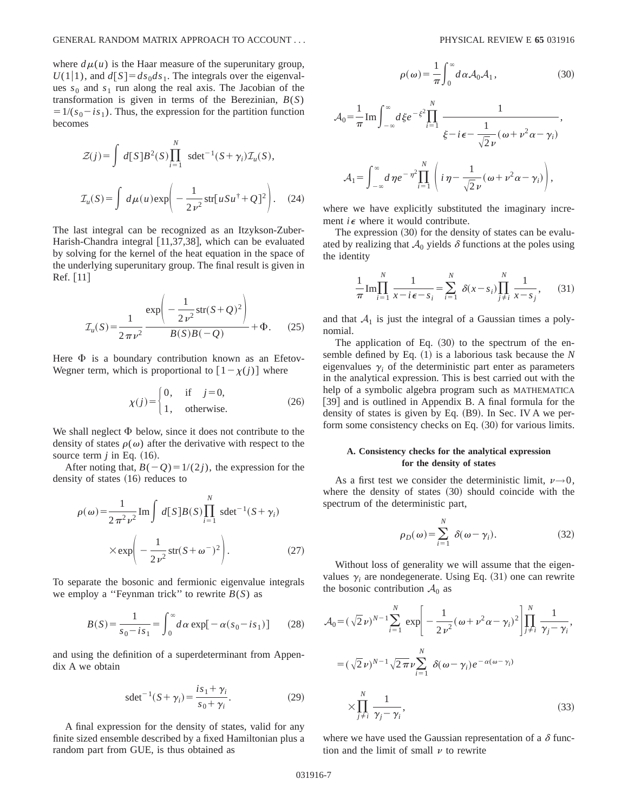where  $d\mu(u)$  is the Haar measure of the superunitary group,  $U(1|1)$ , and  $d[S] = ds_0 ds_1$ . The integrals over the eigenvalues  $s_0$  and  $s_1$  run along the real axis. The Jacobian of the transformation is given in terms of the Berezinian, *B*(*S*)  $=1/(s_0 - is_1)$ . Thus, the expression for the partition function becomes

$$
\mathcal{Z}(j) = \int d[S]B^2(S) \prod_{i=1}^N \ \text{sdet}^{-1}(S + \gamma_i) \mathcal{I}_u(S),
$$

$$
\mathcal{I}_u(S) = \int d\mu(u) \exp\left(-\frac{1}{2v^2} \text{str}[uSu^{\dagger} + Q]^2\right). \tag{24}
$$

The last integral can be recognized as an Itzykson-Zuber-Harish-Chandra integral  $[11,37,38]$ , which can be evaluated by solving for the kernel of the heat equation in the space of the underlying superunitary group. The final result is given in  $\text{Ref.} \mid 11 \mid$ 

$$
\mathcal{I}_u(S) = \frac{1}{2\pi\nu^2} \frac{\exp\left(-\frac{1}{2\nu^2} \operatorname{str}(S+Q)^2\right)}{B(S)B(-Q)} + \Phi.
$$
 (25)

Here  $\Phi$  is a boundary contribution known as an Efetov-Wegner term, which is proportional to  $[1 - \chi(j)]$  where

$$
\chi(j) = \begin{cases} 0, & \text{if } j = 0, \\ 1, & \text{otherwise.} \end{cases}
$$
 (26)

We shall neglect  $\Phi$  below, since it does not contribute to the density of states  $\rho(\omega)$  after the derivative with respect to the source term  $j$  in Eq.  $(16)$ .

After noting that,  $B(-Q) = 1/(2j)$ , the expression for the density of states  $(16)$  reduces to

$$
\rho(\omega) = \frac{1}{2\pi^2 \nu^2} \operatorname{Im} \int d[S] B(S) \prod_{i=1}^N \operatorname{sdet}^{-1} (S + \gamma_i)
$$

$$
\times \exp \left(-\frac{1}{2\nu^2} \operatorname{str} (S + \omega^-)^2\right). \tag{27}
$$

To separate the bosonic and fermionic eigenvalue integrals we employ a "Feynman trick" to rewrite  $B(S)$  as

$$
B(S) = \frac{1}{s_0 - is_1} = \int_0^\infty d\alpha \exp[-\alpha(s_0 - is_1)] \qquad (28)
$$

and using the definition of a superdeterminant from Appendix A we obtain

$$
sdet^{-1}(S + \gamma_i) = \frac{is_1 + \gamma_i}{s_0 + \gamma_i}.
$$
 (29)

A final expression for the density of states, valid for any finite sized ensemble described by a fixed Hamiltonian plus a random part from GUE, is thus obtained as

$$
\rho(\omega) = \frac{1}{\pi} \int_0^\infty d\alpha \mathcal{A}_0 \mathcal{A}_1,\tag{30}
$$

$$
\mathcal{A}_0 = \frac{1}{\pi} \operatorname{Im} \int_{-\infty}^{\infty} d\xi e^{-\xi^2} \prod_{i=1}^N \frac{1}{\xi - i\epsilon - \frac{1}{\sqrt{2}\nu} (\omega + \nu^2 \alpha - \gamma_i)},
$$
  

$$
\mathcal{A}_1 = \int_{-\infty}^{\infty} d\eta e^{-\eta^2} \prod_{i=1}^N \left( i\eta - \frac{1}{\sqrt{2}\nu} (\omega + \nu^2 \alpha - \gamma_i) \right),
$$

where we have explicitly substituted the imaginary increment  $i \in \mathbb{R}$  where it would contribute.

The expression  $(30)$  for the density of states can be evaluated by realizing that  $A_0$  yields  $\delta$  functions at the poles using the identity

$$
\frac{1}{\pi} \text{Im} \prod_{i=1}^{N} \frac{1}{x - i\epsilon - s_i} = \sum_{i=1}^{N} \delta(x - s_i) \prod_{j \neq i}^{N} \frac{1}{x - s_j}, \qquad (31)
$$

and that  $A_1$  is just the integral of a Gaussian times a polynomial.

The application of Eq.  $(30)$  to the spectrum of the ensemble defined by Eq.  $(1)$  is a laborious task because the *N* eigenvalues  $\gamma$ <sup>*i*</sup> of the deterministic part enter as parameters in the analytical expression. This is best carried out with the help of a symbolic algebra program such as MATHEMATICA [39] and is outlined in Appendix B. A final formula for the density of states is given by Eq.  $(B9)$ . In Sec. IV A we perform some consistency checks on Eq.  $(30)$  for various limits.

## **A. Consistency checks for the analytical expression for the density of states**

As a first test we consider the deterministic limit,  $\nu \rightarrow 0$ , where the density of states  $(30)$  should coincide with the spectrum of the deterministic part,

$$
\rho_D(\omega) = \sum_{i=1}^N \delta(\omega - \gamma_i). \tag{32}
$$

Without loss of generality we will assume that the eigenvalues  $\gamma_i$  are nondegenerate. Using Eq.  $(31)$  one can rewrite the bosonic contribution  $A_0$  as

$$
\mathcal{A}_0 = (\sqrt{2} \nu)^{N-1} \sum_{i=1}^N \exp\left[-\frac{1}{2 \nu^2} (\omega + \nu^2 \alpha - \gamma_i)^2\right] \prod_{j \neq i}^N \frac{1}{\gamma_j - \gamma_i},
$$
  

$$
= (\sqrt{2} \nu)^{N-1} \sqrt{2 \pi \nu} \sum_{i=1}^N \delta(\omega - \gamma_i) e^{-\alpha(\omega - \gamma_i)}
$$
  

$$
\times \prod_{j \neq i}^N \frac{1}{\gamma_j - \gamma_i},
$$
 (33)

where we have used the Gaussian representation of a  $\delta$  function and the limit of small  $\nu$  to rewrite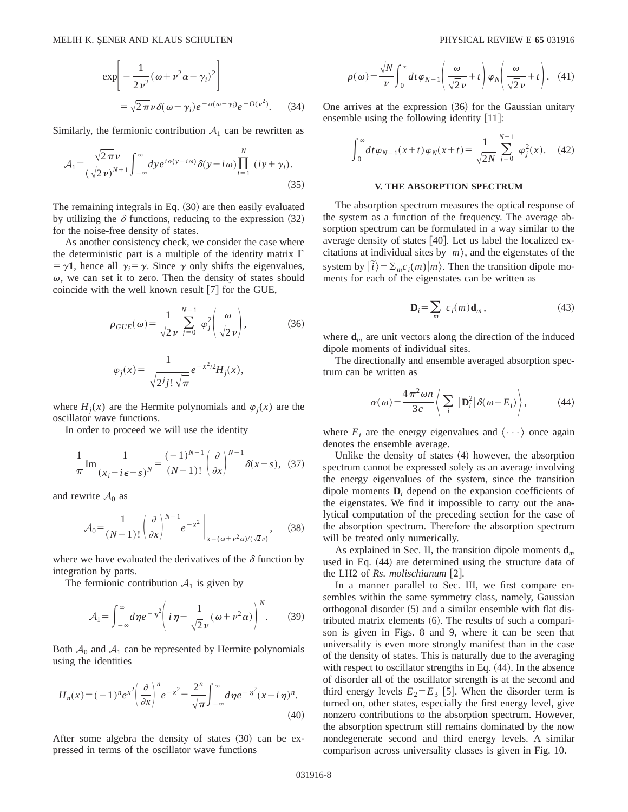$$
\exp\left[-\frac{1}{2v^2}(\omega + v^2\alpha - \gamma_i)^2\right]
$$
  
=  $\sqrt{2\pi}v\delta(\omega - \gamma_i)e^{-\alpha(\omega - \gamma_i)}e^{-O(v^2)}$ . (34)

Similarly, the fermionic contribution  $A_1$  can be rewritten as

$$
\mathcal{A}_1 = \frac{\sqrt{2\pi}\nu}{(\sqrt{2}\nu)^{N+1}} \int_{-\infty}^{\infty} dy e^{i\alpha(y-i\omega)} \delta(y-i\omega) \prod_{i=1}^{N} (iy+\gamma_i).
$$
\n(35)

The remaining integrals in Eq.  $(30)$  are then easily evaluated by utilizing the  $\delta$  functions, reducing to the expression (32) for the noise-free density of states.

As another consistency check, we consider the case where the deterministic part is a multiple of the identity matrix  $\Gamma$  $= \gamma$ **1**, hence all  $\gamma_i = \gamma$ . Since  $\gamma$  only shifts the eigenvalues,  $\omega$ , we can set it to zero. Then the density of states should coincide with the well known result  $[7]$  for the GUE,

$$
\rho_{GUE}(\omega) = \frac{1}{\sqrt{2}\nu} \sum_{j=0}^{N-1} \varphi_j^2 \left(\frac{\omega}{\sqrt{2}\nu}\right),\tag{36}
$$

$$
\varphi_j(x) = \frac{1}{\sqrt{2^j j! \sqrt{\pi}}} e^{-x^2/2} H_j(x),
$$

where  $H_i(x)$  are the Hermite polynomials and  $\varphi_i(x)$  are the oscillator wave functions.

In order to proceed we will use the identity

$$
\frac{1}{\pi} \operatorname{Im} \frac{1}{(x_i - i\epsilon - s)^N} = \frac{(-1)^{N-1}}{(N-1)!} \left(\frac{\partial}{\partial x}\right)^{N-1} \delta(x - s), \tag{37}
$$

and rewrite  $A_0$  as

$$
\mathcal{A}_0 = \frac{1}{(N-1)!} \left( \frac{\partial}{\partial x} \right)^{N-1} e^{-x^2} \Big|_{x = (\omega + \nu^2 \alpha) / (\sqrt{2}\nu)}, \quad (38)
$$

where we have evaluated the derivatives of the  $\delta$  function by integration by parts.

The fermionic contribution  $A_1$  is given by

$$
\mathcal{A}_1 = \int_{-\infty}^{\infty} d\eta e^{-\eta^2} \left( i\eta - \frac{1}{\sqrt{2}\nu} (\omega + \nu^2 \alpha) \right)^N. \tag{39}
$$

Both  $A_0$  and  $A_1$  can be represented by Hermite polynomials using the identities

$$
H_n(x) = (-1)^n e^{x^2} \left(\frac{\partial}{\partial x}\right)^n e^{-x^2} = \frac{2^n}{\sqrt{\pi}} \int_{-\infty}^{\infty} d\eta e^{-\eta^2} (x - i\eta)^n.
$$
\n(40)

After some algebra the density of states  $(30)$  can be expressed in terms of the oscillator wave functions

$$
\rho(\omega) = \frac{\sqrt{N}}{\nu} \int_0^\infty dt \,\varphi_{N-1}\left(\frac{\omega}{\sqrt{2}\,\nu} + t\right) \varphi_N\!\left(\frac{\omega}{\sqrt{2}\,\nu} + t\right). \tag{41}
$$

One arrives at the expression  $(36)$  for the Gaussian unitary ensemble using the following identity  $[11]$ :

$$
\int_0^\infty dt \,\varphi_{N-1}(x+t)\,\varphi_N(x+t) = \frac{1}{\sqrt{2N}} \sum_{j=0}^{N-1} \varphi_j^2(x). \tag{42}
$$

### **V. THE ABSORPTION SPECTRUM**

The absorption spectrum measures the optical response of the system as a function of the frequency. The average absorption spectrum can be formulated in a way similar to the average density of states  $[40]$ . Let us label the localized excitations at individual sites by  $|m\rangle$ , and the eigenstates of the system by  $|\tilde{i}\rangle = \sum_{m} c_i(m)|m\rangle$ . Then the transition dipole moments for each of the eigenstates can be written as

$$
\mathbf{D}_i = \sum_m \ c_i(m) \mathbf{d}_m \,, \tag{43}
$$

where  $\mathbf{d}_m$  are unit vectors along the direction of the induced dipole moments of individual sites.

The directionally and ensemble averaged absorption spectrum can be written as

$$
\alpha(\omega) = \frac{4\pi^2 \omega n}{3c} \left\langle \sum_{i} |\mathbf{D}_{i}^{2}| \delta(\omega - E_{i}) \right\rangle, \tag{44}
$$

where  $E_i$  are the energy eigenvalues and  $\langle \cdots \rangle$  once again denotes the ensemble average.

Unlike the density of states  $(4)$  however, the absorption spectrum cannot be expressed solely as an average involving the energy eigenvalues of the system, since the transition dipole moments **D***<sup>i</sup>* depend on the expansion coefficients of the eigenstates. We find it impossible to carry out the analytical computation of the preceding section for the case of the absorption spectrum. Therefore the absorption spectrum will be treated only numerically.

As explained in Sec. II, the transition dipole moments  $\mathbf{d}_m$ used in Eq.  $(44)$  are determined using the structure data of the LH2 of *Rs. molischianum* [2].

In a manner parallel to Sec. III, we first compare ensembles within the same symmetry class, namely, Gaussian orthogonal disorder  $(5)$  and a similar ensemble with flat distributed matrix elements  $(6)$ . The results of such a comparison is given in Figs. 8 and 9, where it can be seen that universality is even more strongly manifest than in the case of the density of states. This is naturally due to the averaging with respect to oscillator strengths in Eq.  $(44)$ . In the absence of disorder all of the oscillator strength is at the second and third energy levels  $E_2 = E_3$  [5]. When the disorder term is turned on, other states, especially the first energy level, give nonzero contributions to the absorption spectrum. However, the absorption spectrum still remains dominated by the now nondegenerate second and third energy levels. A similar comparison across universality classes is given in Fig. 10.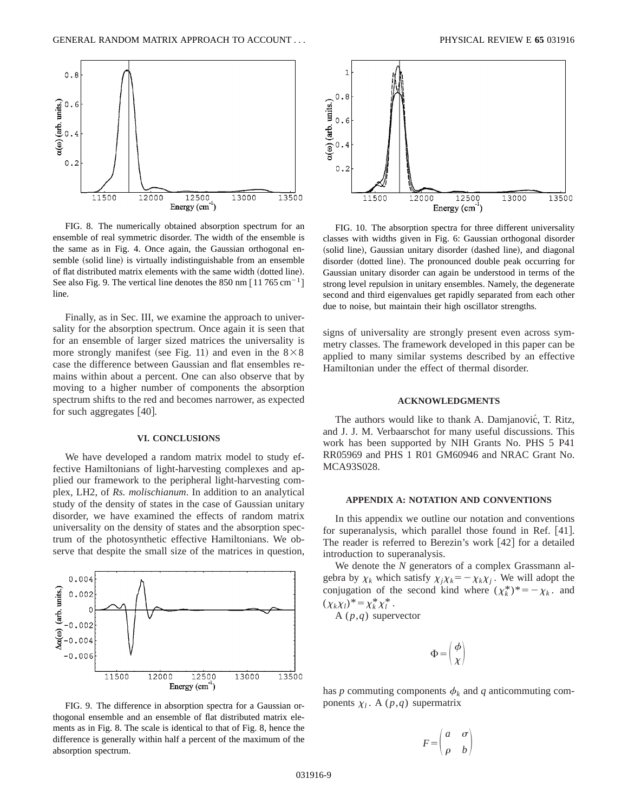

FIG. 8. The numerically obtained absorption spectrum for an ensemble of real symmetric disorder. The width of the ensemble is the same as in Fig. 4. Once again, the Gaussian orthogonal ensemble (solid line) is virtually indistinguishable from an ensemble of flat distributed matrix elements with the same width (dotted line). See also Fig. 9. The vertical line denotes the  $850 \text{ nm}$  [11 765 cm<sup>-1</sup>] line.

Finally, as in Sec. III, we examine the approach to universality for the absorption spectrum. Once again it is seen that for an ensemble of larger sized matrices the universality is more strongly manifest (see Fig. 11) and even in the  $8\times8$ case the difference between Gaussian and flat ensembles remains within about a percent. One can also observe that by moving to a higher number of components the absorption spectrum shifts to the red and becomes narrower, as expected for such aggregates  $[40]$ .

#### **VI. CONCLUSIONS**

We have developed a random matrix model to study effective Hamiltonians of light-harvesting complexes and applied our framework to the peripheral light-harvesting complex, LH2, of *Rs. molischianum*. In addition to an analytical study of the density of states in the case of Gaussian unitary disorder, we have examined the effects of random matrix universality on the density of states and the absorption spectrum of the photosynthetic effective Hamiltonians. We observe that despite the small size of the matrices in question,



FIG. 9. The difference in absorption spectra for a Gaussian orthogonal ensemble and an ensemble of flat distributed matrix elements as in Fig. 8. The scale is identical to that of Fig. 8, hence the difference is generally within half a percent of the maximum of the absorption spectrum.



FIG. 10. The absorption spectra for three different universality classes with widths given in Fig. 6: Gaussian orthogonal disorder (solid line), Gaussian unitary disorder (dashed line), and diagonal disorder (dotted line). The pronounced double peak occurring for Gaussian unitary disorder can again be understood in terms of the strong level repulsion in unitary ensembles. Namely, the degenerate second and third eigenvalues get rapidly separated from each other due to noise, but maintain their high oscillator strengths.

signs of universality are strongly present even across symmetry classes. The framework developed in this paper can be applied to many similar systems described by an effective Hamiltonian under the effect of thermal disorder.

#### **ACKNOWLEDGMENTS**

The authors would like to thank A. Damjanović, T. Ritz, and J. J. M. Verbaarschot for many useful discussions. This work has been supported by NIH Grants No. PHS 5 P41 RR05969 and PHS 1 R01 GM60946 and NRAC Grant No. MCA93S028.

#### **APPENDIX A: NOTATION AND CONVENTIONS**

In this appendix we outline our notation and conventions for superanalysis, which parallel those found in Ref.  $[41]$ . The reader is referred to Berezin's work  $[42]$  for a detailed introduction to superanalysis.

We denote the *N* generators of a complex Grassmann algebra by  $\chi_k$  which satisfy  $\chi_j \chi_k = -\chi_k \chi_j$ . We will adopt the conjugation of the second kind where  $(\chi_k^*)^* = -\chi_k$ . and  $(\chi_k \chi_l)^* = \chi_k^* \chi_l^*$ .

A (*p*,*q*) supervector

$$
\Phi = \left(\frac{\phi}{\chi}\right)
$$

has *p* commuting components  $\phi_k$  and *q* anticommuting components  $\chi_l$ . A (*p*,*q*) supermatrix

$$
F = \begin{pmatrix} a & \sigma \\ \rho & b \end{pmatrix}
$$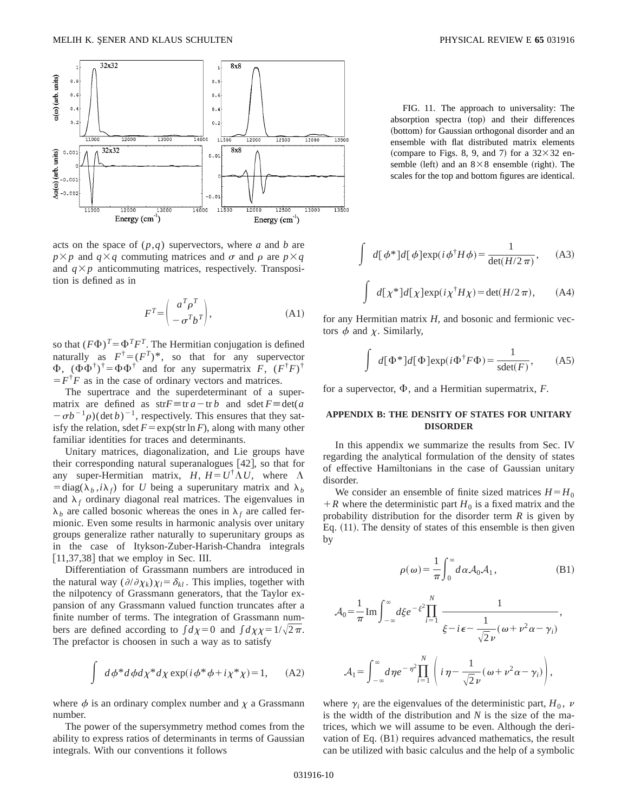

acts on the space of (*p*,*q*) supervectors, where *a* and *b* are  $p \times p$  and  $q \times q$  commuting matrices and  $\sigma$  and  $\rho$  are  $p \times q$ and  $q \times p$  anticommuting matrices, respectively. Transposition is defined as in

$$
F^T = \begin{pmatrix} a^T \rho^T \\ -\sigma^T b^T \end{pmatrix},
$$
 (A1)

so that  $(F\Phi)^{T} = \Phi^{T}F^{T}$ . The Hermitian conjugation is defined naturally as  $F^{\dagger} = (F^T)^*$ , so that for any supervector  $\Phi$ ,  $(\Phi \Phi^{\dagger})^{\dagger} = \Phi \Phi^{\dagger}$  and for any supermatrix *F*,  $(F^{\dagger}F)^{\dagger}$  $F^{\dagger}F$  as in the case of ordinary vectors and matrices.

The supertrace and the superdeterminant of a supermatrix are defined as  $strF \equiv tr a - tr b$  and  $sdet F \equiv det(a$  $-\sigma b^{-1} \rho$ )(det *b*)<sup>-1</sup>, respectively. This ensures that they satisfy the relation, sdet  $F = \exp(\text{str} \ln F)$ , along with many other familiar identities for traces and determinants.

Unitary matrices, diagonalization, and Lie groups have their corresponding natural superanalogues  $[42]$ , so that for any super-Hermitian matrix,  $H, H = U^{\dagger} \Lambda U$ , where  $\Lambda$  $=$ diag( $\lambda_b$ ,*i* $\lambda_f$ ) for *U* being a superunitary matrix and  $\lambda_b$ and  $\lambda_f$  ordinary diagonal real matrices. The eigenvalues in  $\lambda_h$  are called bosonic whereas the ones in  $\lambda_f$  are called fermionic. Even some results in harmonic analysis over unitary groups generalize rather naturally to superunitary groups as in the case of Itykson-Zuber-Harish-Chandra integrals  $[11,37,38]$  that we employ in Sec. III.

Differentiation of Grassmann numbers are introduced in the natural way  $(\partial/\partial \chi_k)\chi_l = \delta_{kl}$ . This implies, together with the nilpotency of Grassmann generators, that the Taylor expansion of any Grassmann valued function truncates after a finite number of terms. The integration of Grassmann numbers are defined according to  $\int d\chi=0$  and  $\int d\chi\chi=1/\sqrt{2\pi}$ . The prefactor is choosen in such a way as to satisfy

$$
\int d\phi^* d\phi d\chi^* d\chi \exp(i\phi^* \phi + i\chi^* \chi) = 1,
$$
 (A2)

where  $\phi$  is an ordinary complex number and  $\chi$  a Grassmann number.

The power of the supersymmetry method comes from the ability to express ratios of determinants in terms of Gaussian integrals. With our conventions it follows

FIG. 11. The approach to universality: The absorption spectra (top) and their differences (bottom) for Gaussian orthogonal disorder and an ensemble with flat distributed matrix elements (compare to Figs. 8, 9, and 7) for a  $32\times32$  ensemble (left) and an  $8 \times 8$  ensemble (right). The scales for the top and bottom figures are identical.

$$
\int d[\phi^*]d[\phi]exp(i\phi^{\dagger}H\phi) = \frac{1}{\det(H/2\pi)}, \quad \text{(A3)}
$$

$$
\int d[\chi^*]d[\chi]exp(i\chi^{\dagger}H\chi) = \det(H/2\pi), \quad (A4)
$$

for any Hermitian matrix *H*, and bosonic and fermionic vectors  $\phi$  and  $\chi$ . Similarly,

$$
\int d[\Phi^*]d[\Phi]exp(i\Phi^{\dagger}F\Phi) = \frac{1}{sdet(F)},
$$
 (A5)

for a supervector,  $\Phi$ , and a Hermitian supermatrix,  $F$ .

# **APPENDIX B: THE DENSITY OF STATES FOR UNITARY DISORDER**

In this appendix we summarize the results from Sec. IV regarding the analytical formulation of the density of states of effective Hamiltonians in the case of Gaussian unitary disorder.

We consider an ensemble of finite sized matrices  $H = H_0$  $+ R$  where the deterministic part  $H_0$  is a fixed matrix and the probability distribution for the disorder term *R* is given by Eq.  $(11)$ . The density of states of this ensemble is then given by

$$
\rho(\omega) = \frac{1}{\pi} \int_0^\infty d\alpha \mathcal{A}_0 \mathcal{A}_1, \qquad (B1)
$$

$$
\mathcal{A}_0 = \frac{1}{\pi} \operatorname{Im} \int_{-\infty}^{\infty} d\xi e^{-\xi^2} \prod_{i=1}^N \frac{1}{\xi - i\epsilon - \frac{1}{\sqrt{2}\nu} (\omega + \nu^2 \alpha - \gamma_i)},
$$
  

$$
\mathcal{A}_1 = \int_{-\infty}^{\infty} d\eta e^{-\eta^2} \prod_{i=1}^N \left( i\eta - \frac{1}{\sqrt{2}\nu} (\omega + \nu^2 \alpha - \gamma_i) \right),
$$

where  $\gamma_i$  are the eigenvalues of the deterministic part,  $H_0$ ,  $\nu$ is the width of the distribution and *N* is the size of the matrices, which we will assume to be even. Although the derivation of Eq.  $(B1)$  requires advanced mathematics, the result can be utilized with basic calculus and the help of a symbolic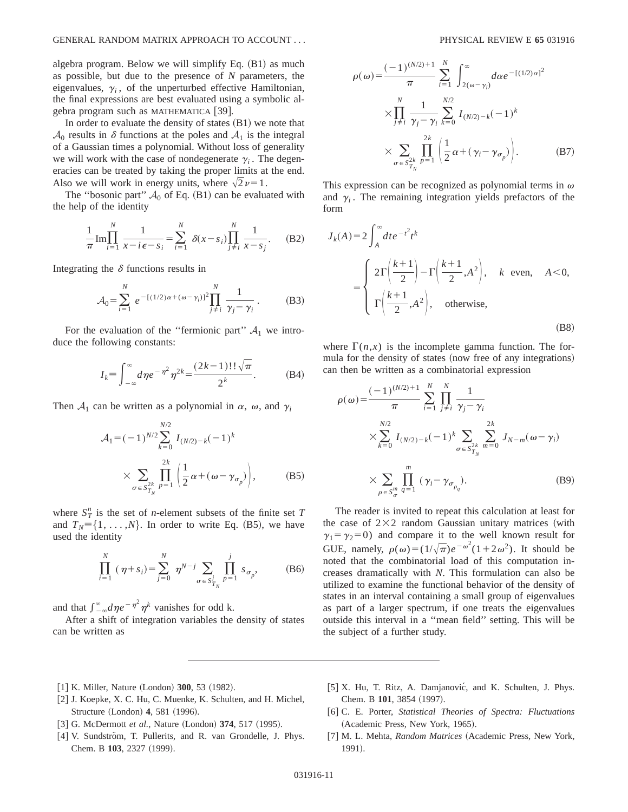algebra program. Below we will simplify Eq.  $(B1)$  as much as possible, but due to the presence of *N* parameters, the eigenvalues,  $\gamma$ <sub>i</sub>, of the unperturbed effective Hamiltonian, the final expressions are best evaluated using a symbolic algebra program such as MATHEMATICA  $[39]$ .

In order to evaluate the density of states  $(B1)$  we note that  $\mathcal{A}_0$  results in  $\delta$  functions at the poles and  $\mathcal{A}_1$  is the integral of a Gaussian times a polynomial. Without loss of generality we will work with the case of nondegenerate  $\gamma$ . The degeneracies can be treated by taking the proper limits at the end. Also we will work in energy units, where  $\sqrt{2}\nu=1$ .

The "bosonic part"  $A_0$  of Eq. (B1) can be evaluated with the help of the identity

$$
\frac{1}{\pi} \text{Im} \prod_{i=1}^{N} \frac{1}{x - i\epsilon - s_i} = \sum_{i=1}^{N} \delta(x - s_i) \prod_{j \neq i}^{N} \frac{1}{x - s_j}.
$$
 (B2)

Integrating the  $\delta$  functions results in

$$
\mathcal{A}_0 = \sum_{i=1}^N e^{-[(1/2)\alpha + (\omega - \gamma_i)]^2} \prod_{j \neq i}^N \frac{1}{\gamma_j - \gamma_i} \,. \tag{B3}
$$

For the evaluation of the "fermionic part"  $A_1$  we introduce the following constants:

$$
I_k = \int_{-\infty}^{\infty} d\eta e^{-\eta^2} \eta^{2k} = \frac{(2k-1)!!\sqrt{\pi}}{2^k}.
$$
 (B4)

Then  $A_1$  can be written as a polynomial in  $\alpha$ ,  $\omega$ , and  $\gamma$ 

$$
\mathcal{A}_1 = (-1)^{N/2} \sum_{k=0}^{N/2} I_{(N/2)-k}(-1)^k
$$
  
 
$$
\times \sum_{\sigma \in S_{T_N}^{2k}} \prod_{p=1}^{2k} \left( \frac{1}{2} \alpha + (\omega - \gamma_{\sigma_p}) \right), \qquad (B5)
$$

where  $S_T^n$  is the set of *n*-element subsets of the finite set *T* and  $T_N = \{1, \ldots, N\}$ . In order to write Eq. (B5), we have used the identity

$$
\prod_{i=1}^{N} (\eta + s_i) = \sum_{j=0}^{N} \eta^{N-j} \sum_{\sigma \in S_{T_N}^j} \prod_{p=1}^{j} s_{\sigma_p},
$$
 (B6)

and that  $\int_{-\infty}^{\infty} d\eta e^{-\eta^2} \eta^k$  vanishes for odd k.

After a shift of integration variables the density of states can be written as

$$
\rho(\omega) = \frac{(-1)^{(N/2)+1}}{\pi} \sum_{i=1}^{N} \int_{2(\omega-\gamma_i)}^{\infty} d\alpha e^{-[(1/2)\alpha]^2} \times \prod_{j \neq i}^{N} \frac{1}{\gamma_j - \gamma_i} \sum_{k=0}^{N/2} I_{(N/2)-k}(-1)^k \times \sum_{\sigma \in S_{T_N}^{2k}} \prod_{p=1}^{2k} \left(\frac{1}{2}\alpha + (\gamma_i - \gamma_{\sigma_p})\right). \tag{B7}
$$

This expression can be recognized as polynomial terms in  $\omega$ and  $\gamma$ <sub>i</sub>. The remaining integration yields prefactors of the form

$$
J_k(A) = 2 \int_A^{\infty} dt e^{-t^2} t^k
$$
  
= 
$$
\begin{cases} 2\Gamma\left(\frac{k+1}{2}\right) - \Gamma\left(\frac{k+1}{2}, A^2\right), & k \text{ even, } A < 0, \\ \Gamma\left(\frac{k+1}{2}, A^2\right), & \text{otherwise,} \end{cases}
$$
 (B8)

where  $\Gamma(n,x)$  is the incomplete gamma function. The formula for the density of states (now free of any integrations) can then be written as a combinatorial expression

$$
\rho(\omega) = \frac{(-1)^{(N/2)+1}}{\pi} \sum_{i=1}^{N} \prod_{j \neq i}^{N} \frac{1}{\gamma_j - \gamma_i}
$$
  
 
$$
\times \sum_{k=0}^{N/2} I_{(N/2)-k}(-1)^k \sum_{\sigma \in S_{T_N}^{2k}} \sum_{m=0}^{2k} J_{N-m}(\omega - \gamma_i)
$$
  
 
$$
\times \sum_{\rho \in S_{\sigma}^m} \prod_{q=1}^{m} (\gamma_i - \gamma_{\sigma_{\rho_q}}).
$$
 (B9)

The reader is invited to repeat this calculation at least for the case of  $2\times2$  random Gaussian unitary matrices (with  $\gamma_1 = \gamma_2 = 0$ ) and compare it to the well known result for GUE, namely,  $\rho(\omega) = (1/\sqrt{\pi})e^{-\omega^2}(1+2\omega^2)$ . It should be noted that the combinatorial load of this computation increases dramatically with *N*. This formulation can also be utilized to examine the functional behavior of the density of states in an interval containing a small group of eigenvalues as part of a larger spectrum, if one treats the eigenvalues outside this interval in a ''mean field'' setting. This will be the subject of a further study.

- [1] K. Miller, Nature (London) **300**, 53 (1982).
- [2] J. Koepke, X. C. Hu, C. Muenke, K. Schulten, and H. Michel, Structure (London) **4**, 581 (1996).
- [3] G. McDermott *et al.*, Nature (London) **374**, 517 (1995).
- [4] V. Sundström, T. Pullerits, and R. van Grondelle, J. Phys. Chem. B 103, 2327 (1999).
- [5] X. Hu, T. Ritz, A. Damjanović, and K. Schulten, J. Phys. Chem. B 101, 3854 (1997).
- @6# C. E. Porter, *Statistical Theories of Spectra: Fluctuations* (Academic Press, New York, 1965).
- [7] M. L. Mehta, *Random Matrices* (Academic Press, New York, 1991).